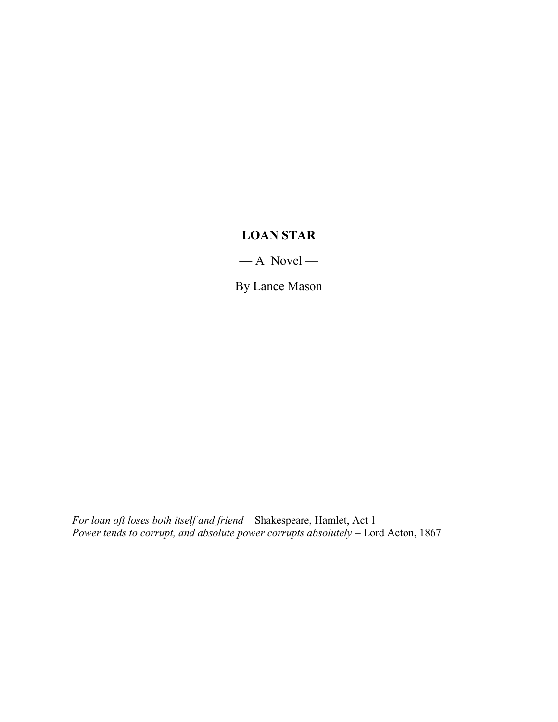# LOAN STAR

 $-$  A Novel –

By Lance Mason

For loan oft loses both itself and friend – Shakespeare, Hamlet, Act 1 Power tends to corrupt, and absolute power corrupts absolutely – Lord Acton, 1867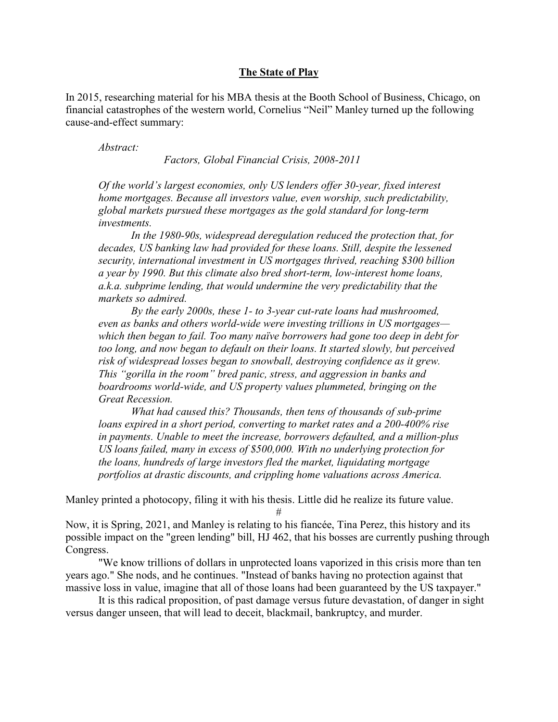## The State of Play

In 2015, researching material for his MBA thesis at the Booth School of Business, Chicago, on financial catastrophes of the western world, Cornelius "Neil" Manley turned up the following cause-and-effect summary:

Abstract:

Factors, Global Financial Crisis, 2008-2011

Of the world's largest economies, only US lenders offer 30-year, fixed interest home mortgages. Because all investors value, even worship, such predictability, global markets pursued these mortgages as the gold standard for long-term investments.

In the 1980-90s, widespread deregulation reduced the protection that, for decades, US banking law had provided for these loans. Still, despite the lessened security, international investment in US mortgages thrived, reaching \$300 billion a year by 1990. But this climate also bred short-term, low-interest home loans, a.k.a. subprime lending, that would undermine the very predictability that the markets so admired.

By the early 2000s, these 1- to 3-year cut-rate loans had mushroomed, even as banks and others world-wide were investing trillions in US mortgages which then began to fail. Too many naïve borrowers had gone too deep in debt for too long, and now began to default on their loans. It started slowly, but perceived risk of widespread losses began to snowball, destroying confidence as it grew. This "gorilla in the room" bred panic, stress, and aggression in banks and boardrooms world-wide, and US property values plummeted, bringing on the Great Recession.

What had caused this? Thousands, then tens of thousands of sub-prime loans expired in a short period, converting to market rates and a 200-400% rise in payments. Unable to meet the increase, borrowers defaulted, and a million-plus US loans failed, many in excess of \$500,000. With no underlying protection for the loans, hundreds of large investors fled the market, liquidating mortgage portfolios at drastic discounts, and crippling home valuations across America.

Manley printed a photocopy, filing it with his thesis. Little did he realize its future value.

#

Now, it is Spring, 2021, and Manley is relating to his fiancée, Tina Perez, this history and its possible impact on the "green lending" bill, HJ 462, that his bosses are currently pushing through Congress.

"We know trillions of dollars in unprotected loans vaporized in this crisis more than ten years ago." She nods, and he continues. "Instead of banks having no protection against that massive loss in value, imagine that all of those loans had been guaranteed by the US taxpayer."

It is this radical proposition, of past damage versus future devastation, of danger in sight versus danger unseen, that will lead to deceit, blackmail, bankruptcy, and murder.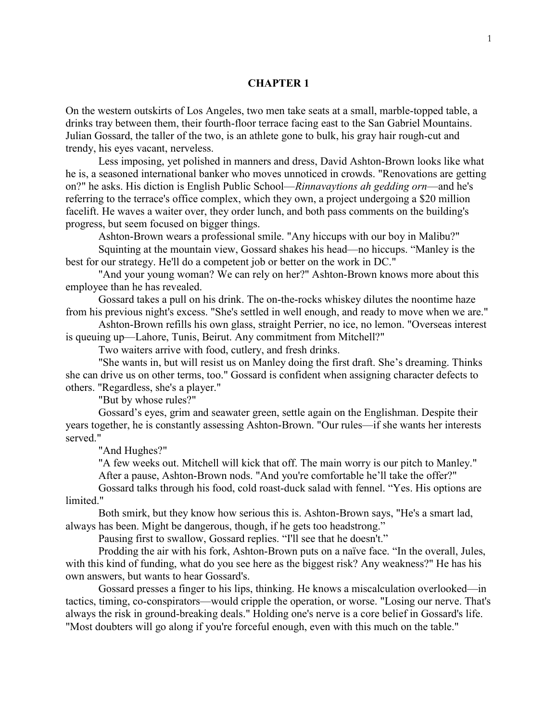## CHAPTER 1

On the western outskirts of Los Angeles, two men take seats at a small, marble-topped table, a drinks tray between them, their fourth-floor terrace facing east to the San Gabriel Mountains. Julian Gossard, the taller of the two, is an athlete gone to bulk, his gray hair rough-cut and trendy, his eyes vacant, nerveless.

Less imposing, yet polished in manners and dress, David Ashton-Brown looks like what he is, a seasoned international banker who moves unnoticed in crowds. "Renovations are getting on?" he asks. His diction is English Public School—*Rinnavaytions ah gedding orn*—and he's referring to the terrace's office complex, which they own, a project undergoing a \$20 million facelift. He waves a waiter over, they order lunch, and both pass comments on the building's progress, but seem focused on bigger things.

Ashton-Brown wears a professional smile. "Any hiccups with our boy in Malibu?"

Squinting at the mountain view, Gossard shakes his head—no hiccups. "Manley is the best for our strategy. He'll do a competent job or better on the work in DC."

"And your young woman? We can rely on her?" Ashton-Brown knows more about this employee than he has revealed.

Gossard takes a pull on his drink. The on-the-rocks whiskey dilutes the noontime haze from his previous night's excess. "She's settled in well enough, and ready to move when we are."

Ashton-Brown refills his own glass, straight Perrier, no ice, no lemon. "Overseas interest is queuing up—Lahore, Tunis, Beirut. Any commitment from Mitchell?"

Two waiters arrive with food, cutlery, and fresh drinks.

"She wants in, but will resist us on Manley doing the first draft. She's dreaming. Thinks she can drive us on other terms, too." Gossard is confident when assigning character defects to others. "Regardless, she's a player."

"But by whose rules?"

Gossard's eyes, grim and seawater green, settle again on the Englishman. Despite their years together, he is constantly assessing Ashton-Brown. "Our rules—if she wants her interests served."

"And Hughes?"

"A few weeks out. Mitchell will kick that off. The main worry is our pitch to Manley." After a pause, Ashton-Brown nods. "And you're comfortable he'll take the offer?"

Gossard talks through his food, cold roast-duck salad with fennel. "Yes. His options are limited."

Both smirk, but they know how serious this is. Ashton-Brown says, "He's a smart lad, always has been. Might be dangerous, though, if he gets too headstrong."

Pausing first to swallow, Gossard replies. "I'll see that he doesn't."

Prodding the air with his fork, Ashton-Brown puts on a naïve face. "In the overall, Jules, with this kind of funding, what do you see here as the biggest risk? Any weakness?" He has his own answers, but wants to hear Gossard's.

Gossard presses a finger to his lips, thinking. He knows a miscalculation overlooked—in tactics, timing, co-conspirators—would cripple the operation, or worse. "Losing our nerve. That's always the risk in ground-breaking deals." Holding one's nerve is a core belief in Gossard's life. "Most doubters will go along if you're forceful enough, even with this much on the table."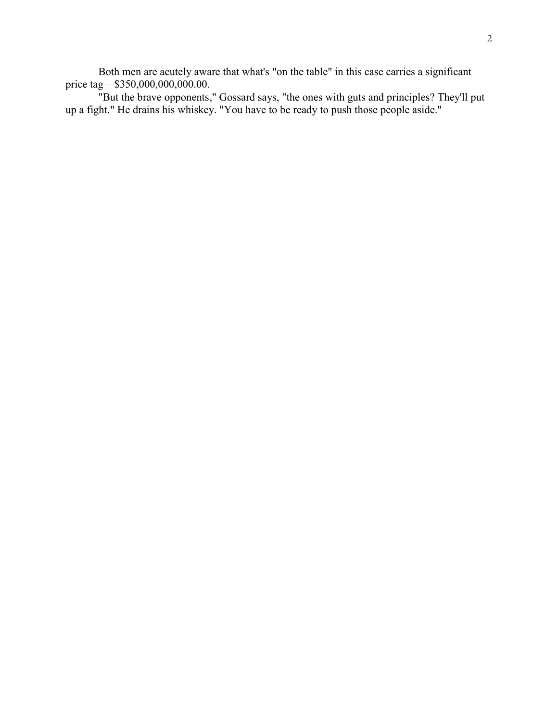Both men are acutely aware that what's "on the table" in this case carries a significant price tag-\$350,000,000,000.00.

"But the brave opponents," Gossard says, "the ones with guts and principles? They'll put up a fight." He drains his whiskey. "You have to be ready to push those people aside."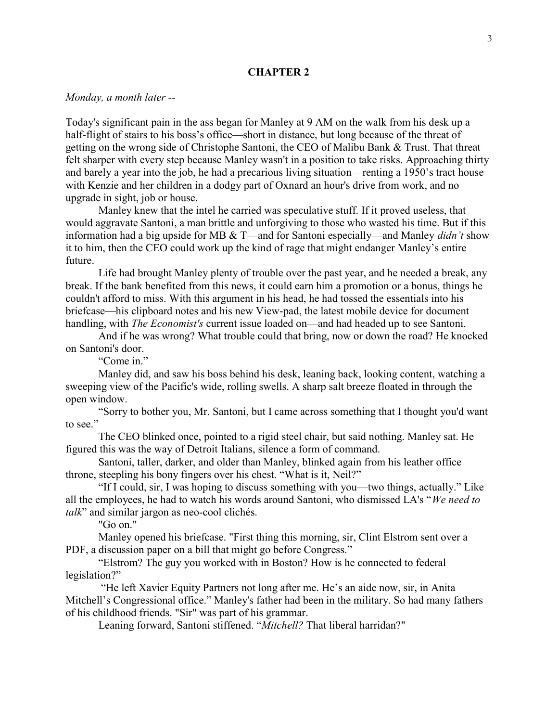### CHAPTER 2

### Monday, a month later --

Today's significant pain in the ass began for Manley at 9 AM on the walk from his desk up a half-flight of stairs to his boss's office—short in distance, but long because of the threat of getting on the wrong side of Christophe Santoni, the CEO of Malibu Bank & Trust. That threat felt sharper with every step because Manley wasn't in a position to take risks. Approaching thirty and barely a year into the job, he had a precarious living situation—renting a 1950's tract house with Kenzie and her children in a dodgy part of Oxnard an hour's drive from work, and no upgrade in sight, job or house.

Manley knew that the intel he carried was speculative stuff. If it proved useless, that would aggravate Santoni, a man brittle and unforgiving to those who wasted his time. But if this information had a big upside for MB & T—and for Santoni especially—and Manley didn't show it to him, then the CEO could work up the kind of rage that might endanger Manley's entire future.

Life had brought Manley plenty of trouble over the past year, and he needed a break, any break. If the bank benefited from this news, it could earn him a promotion or a bonus, things he couldn't afford to miss. With this argument in his head, he had tossed the essentials into his briefcase—his clipboard notes and his new View-pad, the latest mobile device for document handling, with *The Economist's* current issue loaded on—and had headed up to see Santoni.

And if he was wrong? What trouble could that bring, now or down the road? He knocked on Santoni's door.

"Come in."

Manley did, and saw his boss behind his desk, leaning back, looking content, watching a sweeping view of the Pacific's wide, rolling swells. A sharp salt breeze floated in through the open window.

"Sorry to bother you, Mr. Santoni, but I came across something that I thought you'd want to see."

The CEO blinked once, pointed to a rigid steel chair, but said nothing. Manley sat. He figured this was the way of Detroit Italians, silence a form of command.

Santoni, taller, darker, and older than Manley, blinked again from his leather office throne, steepling his bony fingers over his chest. "What is it, Neil?"

"If I could, sir, I was hoping to discuss something with you—two things, actually." Like all the employees, he had to watch his words around Santoni, who dismissed LA's "We need to talk" and similar jargon as neo-cool clichés.

"Go on."

Manley opened his briefcase. "First thing this morning, sir, Clint Elstrom sent over a PDF, a discussion paper on a bill that might go before Congress."

"Elstrom? The guy you worked with in Boston? How is he connected to federal legislation?"

 "He left Xavier Equity Partners not long after me. He's an aide now, sir, in Anita Mitchell's Congressional office." Manley's father had been in the military. So had many fathers of his childhood friends. "Sir" was part of his grammar.

Leaning forward, Santoni stiffened. "Mitchell? That liberal harridan?"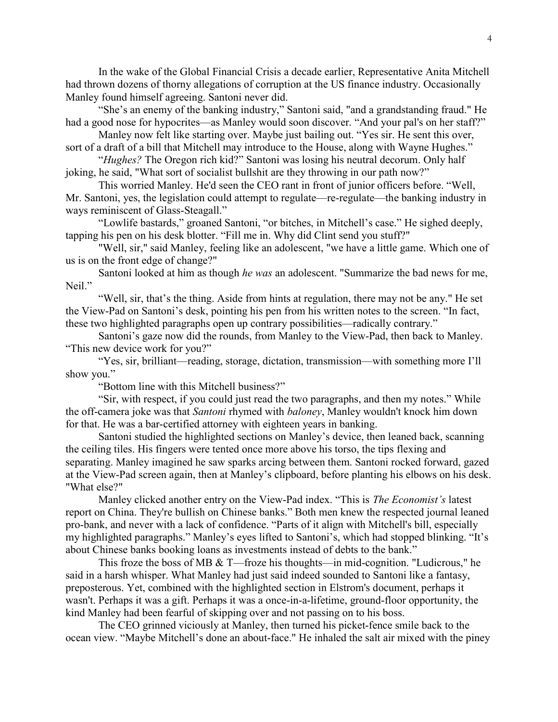In the wake of the Global Financial Crisis a decade earlier, Representative Anita Mitchell had thrown dozens of thorny allegations of corruption at the US finance industry. Occasionally Manley found himself agreeing. Santoni never did.

"She's an enemy of the banking industry," Santoni said, "and a grandstanding fraud." He had a good nose for hypocrites—as Manley would soon discover. "And your pal's on her staff?"

Manley now felt like starting over. Maybe just bailing out. "Yes sir. He sent this over, sort of a draft of a bill that Mitchell may introduce to the House, along with Wayne Hughes."

"Hughes? The Oregon rich kid?" Santoni was losing his neutral decorum. Only half joking, he said, "What sort of socialist bullshit are they throwing in our path now?"

This worried Manley. He'd seen the CEO rant in front of junior officers before. "Well, Mr. Santoni, yes, the legislation could attempt to regulate—re-regulate—the banking industry in ways reminiscent of Glass-Steagall."

"Lowlife bastards," groaned Santoni, "or bitches, in Mitchell's case." He sighed deeply, tapping his pen on his desk blotter. "Fill me in. Why did Clint send you stuff?"

"Well, sir," said Manley, feeling like an adolescent, "we have a little game. Which one of us is on the front edge of change?"

Santoni looked at him as though he was an adolescent. "Summarize the bad news for me, Neil."

"Well, sir, that's the thing. Aside from hints at regulation, there may not be any." He set the View-Pad on Santoni's desk, pointing his pen from his written notes to the screen. "In fact, these two highlighted paragraphs open up contrary possibilities—radically contrary."

Santoni's gaze now did the rounds, from Manley to the View-Pad, then back to Manley. "This new device work for you?"

"Yes, sir, brilliant—reading, storage, dictation, transmission—with something more I'll show you."

"Bottom line with this Mitchell business?"

"Sir, with respect, if you could just read the two paragraphs, and then my notes." While the off-camera joke was that Santoni rhymed with baloney, Manley wouldn't knock him down for that. He was a bar-certified attorney with eighteen years in banking.

Santoni studied the highlighted sections on Manley's device, then leaned back, scanning the ceiling tiles. His fingers were tented once more above his torso, the tips flexing and separating. Manley imagined he saw sparks arcing between them. Santoni rocked forward, gazed at the View-Pad screen again, then at Manley's clipboard, before planting his elbows on his desk. "What else?"

Manley clicked another entry on the View-Pad index. "This is *The Economist's* latest report on China. They're bullish on Chinese banks." Both men knew the respected journal leaned pro-bank, and never with a lack of confidence. "Parts of it align with Mitchell's bill, especially my highlighted paragraphs." Manley's eyes lifted to Santoni's, which had stopped blinking. "It's about Chinese banks booking loans as investments instead of debts to the bank."

This froze the boss of MB & T—froze his thoughts—in mid-cognition. "Ludicrous," he said in a harsh whisper. What Manley had just said indeed sounded to Santoni like a fantasy, preposterous. Yet, combined with the highlighted section in Elstrom's document, perhaps it wasn't. Perhaps it was a gift. Perhaps it was a once-in-a-lifetime, ground-floor opportunity, the kind Manley had been fearful of skipping over and not passing on to his boss.

The CEO grinned viciously at Manley, then turned his picket-fence smile back to the ocean view. "Maybe Mitchell's done an about-face." He inhaled the salt air mixed with the piney